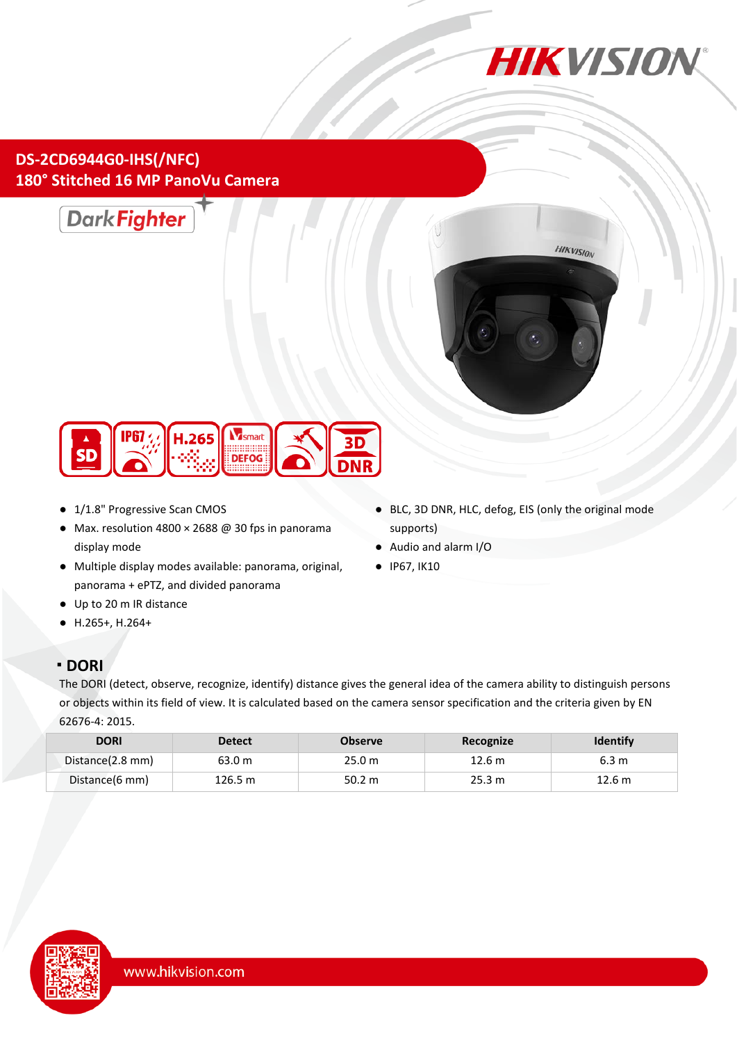

## **DS-2CD6944G0-IHS(/NFC) 180° Stitched 16 MP PanoVu Camera**







- 1/1.8" Progressive Scan CMOS
- Max. resolution 4800 × 2688 @ 30 fps in panorama display mode
- Multiple display modes available: panorama, original, panorama + ePTZ, and divided panorama
- Up to 20 m IR distance
- H.265+, H.264+

### **DORI**

● BLC, 3D DNR, HLC, defog, EIS (only the original mode supports)

- Audio and alarm I/O
- IP67, IK10
- The DORI (detect, observe, recognize, identify) distance gives the general idea of the camera ability to distinguish persons or objects within its field of view. It is calculated based on the camera sensor specification and the criteria given by EN 62676-4: 2015.

| <b>DORI</b>      | <b>Detect</b> | <b>Observe</b> | Recognize | <b>Identify</b> |
|------------------|---------------|----------------|-----------|-----------------|
| Distance(2.8 mm) | 63.0 m        | 25.0 m         | 12.6 m    | 6.3 m           |
| Distance(6 mm)   | 126.5 m       | 50.2 m         | 25.3 m    | 12.6 m          |

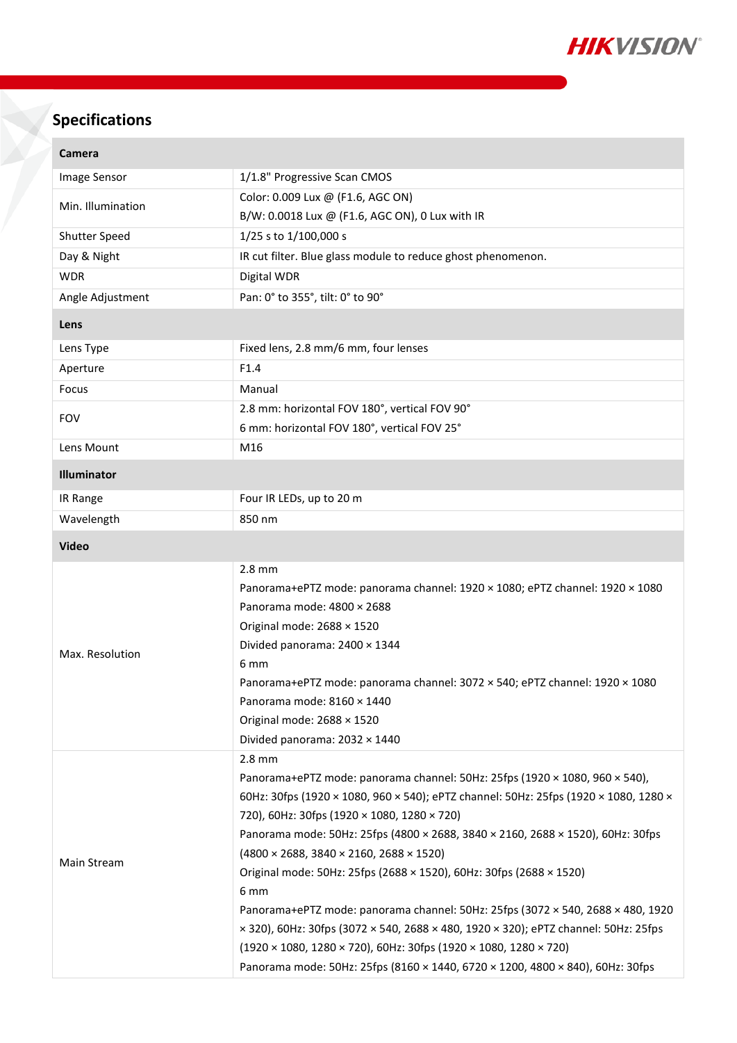

# **Specifications**

| Camera            |                                                                                                                                                                                                                                                                                                                                                                                                                                                                                                                                                                                                                                                                                                                                                                                                                                       |  |
|-------------------|---------------------------------------------------------------------------------------------------------------------------------------------------------------------------------------------------------------------------------------------------------------------------------------------------------------------------------------------------------------------------------------------------------------------------------------------------------------------------------------------------------------------------------------------------------------------------------------------------------------------------------------------------------------------------------------------------------------------------------------------------------------------------------------------------------------------------------------|--|
| Image Sensor      | 1/1.8" Progressive Scan CMOS                                                                                                                                                                                                                                                                                                                                                                                                                                                                                                                                                                                                                                                                                                                                                                                                          |  |
| Min. Illumination | Color: 0.009 Lux @ (F1.6, AGC ON)<br>B/W: 0.0018 Lux @ (F1.6, AGC ON), 0 Lux with IR                                                                                                                                                                                                                                                                                                                                                                                                                                                                                                                                                                                                                                                                                                                                                  |  |
|                   |                                                                                                                                                                                                                                                                                                                                                                                                                                                                                                                                                                                                                                                                                                                                                                                                                                       |  |
| Shutter Speed     | 1/25 s to 1/100,000 s                                                                                                                                                                                                                                                                                                                                                                                                                                                                                                                                                                                                                                                                                                                                                                                                                 |  |
| Day & Night       | IR cut filter. Blue glass module to reduce ghost phenomenon.                                                                                                                                                                                                                                                                                                                                                                                                                                                                                                                                                                                                                                                                                                                                                                          |  |
| <b>WDR</b>        | Digital WDR                                                                                                                                                                                                                                                                                                                                                                                                                                                                                                                                                                                                                                                                                                                                                                                                                           |  |
| Angle Adjustment  | Pan: 0° to 355°, tilt: 0° to 90°                                                                                                                                                                                                                                                                                                                                                                                                                                                                                                                                                                                                                                                                                                                                                                                                      |  |
| Lens              |                                                                                                                                                                                                                                                                                                                                                                                                                                                                                                                                                                                                                                                                                                                                                                                                                                       |  |
| Lens Type         | Fixed lens, 2.8 mm/6 mm, four lenses                                                                                                                                                                                                                                                                                                                                                                                                                                                                                                                                                                                                                                                                                                                                                                                                  |  |
| Aperture          | F1.4                                                                                                                                                                                                                                                                                                                                                                                                                                                                                                                                                                                                                                                                                                                                                                                                                                  |  |
| Focus             | Manual                                                                                                                                                                                                                                                                                                                                                                                                                                                                                                                                                                                                                                                                                                                                                                                                                                |  |
| <b>FOV</b>        | 2.8 mm: horizontal FOV 180°, vertical FOV 90°                                                                                                                                                                                                                                                                                                                                                                                                                                                                                                                                                                                                                                                                                                                                                                                         |  |
|                   | 6 mm: horizontal FOV 180°, vertical FOV 25°                                                                                                                                                                                                                                                                                                                                                                                                                                                                                                                                                                                                                                                                                                                                                                                           |  |
| Lens Mount        | M16                                                                                                                                                                                                                                                                                                                                                                                                                                                                                                                                                                                                                                                                                                                                                                                                                                   |  |
| Illuminator       |                                                                                                                                                                                                                                                                                                                                                                                                                                                                                                                                                                                                                                                                                                                                                                                                                                       |  |
| IR Range          | Four IR LEDs, up to 20 m                                                                                                                                                                                                                                                                                                                                                                                                                                                                                                                                                                                                                                                                                                                                                                                                              |  |
| Wavelength        | 850 nm                                                                                                                                                                                                                                                                                                                                                                                                                                                                                                                                                                                                                                                                                                                                                                                                                                |  |
| <b>Video</b>      |                                                                                                                                                                                                                                                                                                                                                                                                                                                                                                                                                                                                                                                                                                                                                                                                                                       |  |
| Max. Resolution   | $2.8$ mm<br>Panorama+ePTZ mode: panorama channel: 1920 × 1080; ePTZ channel: 1920 × 1080<br>Panorama mode: 4800 × 2688<br>Original mode: 2688 × 1520<br>Divided panorama: 2400 × 1344<br>6 mm<br>Panorama+ePTZ mode: panorama channel: 3072 × 540; ePTZ channel: 1920 × 1080<br>Panorama mode: 8160 × 1440<br>Original mode: 2688 × 1520<br>Divided panorama: 2032 × 1440                                                                                                                                                                                                                                                                                                                                                                                                                                                             |  |
| Main Stream       | $2.8$ mm<br>Panorama+ePTZ mode: panorama channel: 50Hz: 25fps (1920 × 1080, 960 × 540),<br>60Hz: 30fps (1920 × 1080, 960 × 540); ePTZ channel: 50Hz: 25fps (1920 × 1080, 1280 ×<br>720), 60Hz: 30fps (1920 × 1080, 1280 × 720)<br>Panorama mode: 50Hz: 25fps (4800 × 2688, 3840 × 2160, 2688 × 1520), 60Hz: 30fps<br>$(4800 \times 2688, 3840 \times 2160, 2688 \times 1520)$<br>Original mode: 50Hz: 25fps (2688 × 1520), 60Hz: 30fps (2688 × 1520)<br>6 mm<br>Panorama+ePTZ mode: panorama channel: 50Hz: 25fps (3072 × 540, 2688 × 480, 1920<br>$\times$ 320), 60Hz: 30fps (3072 $\times$ 540, 2688 $\times$ 480, 1920 $\times$ 320); ePTZ channel: 50Hz: 25fps<br>$(1920 \times 1080, 1280 \times 720), 60$ Hz: 30fps (1920 × 1080, 1280 × 720)<br>Panorama mode: 50Hz: 25fps (8160 × 1440, 6720 × 1200, 4800 × 840), 60Hz: 30fps |  |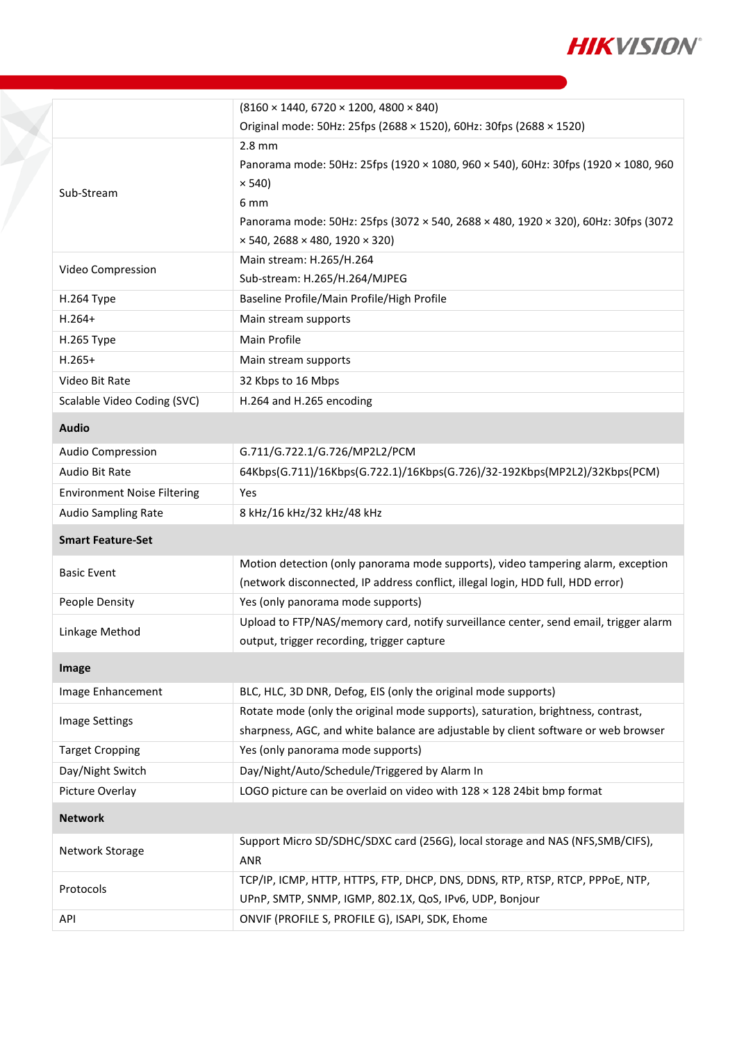

|                                    | $(8160 \times 1440, 6720 \times 1200, 4800 \times 840)$                                                                                                                                                                                                              |  |
|------------------------------------|----------------------------------------------------------------------------------------------------------------------------------------------------------------------------------------------------------------------------------------------------------------------|--|
|                                    | Original mode: 50Hz: 25fps (2688 × 1520), 60Hz: 30fps (2688 × 1520)                                                                                                                                                                                                  |  |
| Sub-Stream                         | $2.8$ mm<br>Panorama mode: 50Hz: 25fps (1920 × 1080, 960 × 540), 60Hz: 30fps (1920 × 1080, 960<br>$\times$ 540)<br>6 mm<br>Panorama mode: 50Hz: 25fps (3072 × 540, 2688 × 480, 1920 × 320), 60Hz: 30fps (3072<br>$\times$ 540, 2688 $\times$ 480, 1920 $\times$ 320) |  |
| Video Compression                  | Main stream: H.265/H.264<br>Sub-stream: H.265/H.264/MJPEG                                                                                                                                                                                                            |  |
| H.264 Type                         | Baseline Profile/Main Profile/High Profile                                                                                                                                                                                                                           |  |
| $H.264+$                           | Main stream supports                                                                                                                                                                                                                                                 |  |
| H.265 Type                         | Main Profile                                                                                                                                                                                                                                                         |  |
| $H.265+$                           | Main stream supports                                                                                                                                                                                                                                                 |  |
| Video Bit Rate                     | 32 Kbps to 16 Mbps                                                                                                                                                                                                                                                   |  |
| Scalable Video Coding (SVC)        | H.264 and H.265 encoding                                                                                                                                                                                                                                             |  |
| <b>Audio</b>                       |                                                                                                                                                                                                                                                                      |  |
| Audio Compression                  | G.711/G.722.1/G.726/MP2L2/PCM                                                                                                                                                                                                                                        |  |
| Audio Bit Rate                     | 64Kbps(G.711)/16Kbps(G.722.1)/16Kbps(G.726)/32-192Kbps(MP2L2)/32Kbps(PCM)                                                                                                                                                                                            |  |
| <b>Environment Noise Filtering</b> | Yes                                                                                                                                                                                                                                                                  |  |
| Audio Sampling Rate                | 8 kHz/16 kHz/32 kHz/48 kHz                                                                                                                                                                                                                                           |  |
| <b>Smart Feature-Set</b>           |                                                                                                                                                                                                                                                                      |  |
| <b>Basic Event</b>                 | Motion detection (only panorama mode supports), video tampering alarm, exception<br>(network disconnected, IP address conflict, illegal login, HDD full, HDD error)                                                                                                  |  |
| People Density                     | Yes (only panorama mode supports)                                                                                                                                                                                                                                    |  |
| Linkage Method                     | Upload to FTP/NAS/memory card, notify surveillance center, send email, trigger alarm<br>output, trigger recording, trigger capture                                                                                                                                   |  |
| Image                              |                                                                                                                                                                                                                                                                      |  |
| Image Enhancement                  | BLC, HLC, 3D DNR, Defog, EIS (only the original mode supports)                                                                                                                                                                                                       |  |
| Image Settings                     | Rotate mode (only the original mode supports), saturation, brightness, contrast,<br>sharpness, AGC, and white balance are adjustable by client software or web browser                                                                                               |  |
| <b>Target Cropping</b>             | Yes (only panorama mode supports)                                                                                                                                                                                                                                    |  |
| Day/Night Switch                   | Day/Night/Auto/Schedule/Triggered by Alarm In                                                                                                                                                                                                                        |  |
| Picture Overlay                    | LOGO picture can be overlaid on video with 128 x 128 24bit bmp format                                                                                                                                                                                                |  |
| <b>Network</b>                     |                                                                                                                                                                                                                                                                      |  |
| Network Storage                    | Support Micro SD/SDHC/SDXC card (256G), local storage and NAS (NFS, SMB/CIFS),<br><b>ANR</b>                                                                                                                                                                         |  |
| Protocols                          | TCP/IP, ICMP, HTTP, HTTPS, FTP, DHCP, DNS, DDNS, RTP, RTSP, RTCP, PPPoE, NTP,<br>UPnP, SMTP, SNMP, IGMP, 802.1X, QoS, IPv6, UDP, Bonjour                                                                                                                             |  |
|                                    |                                                                                                                                                                                                                                                                      |  |

Y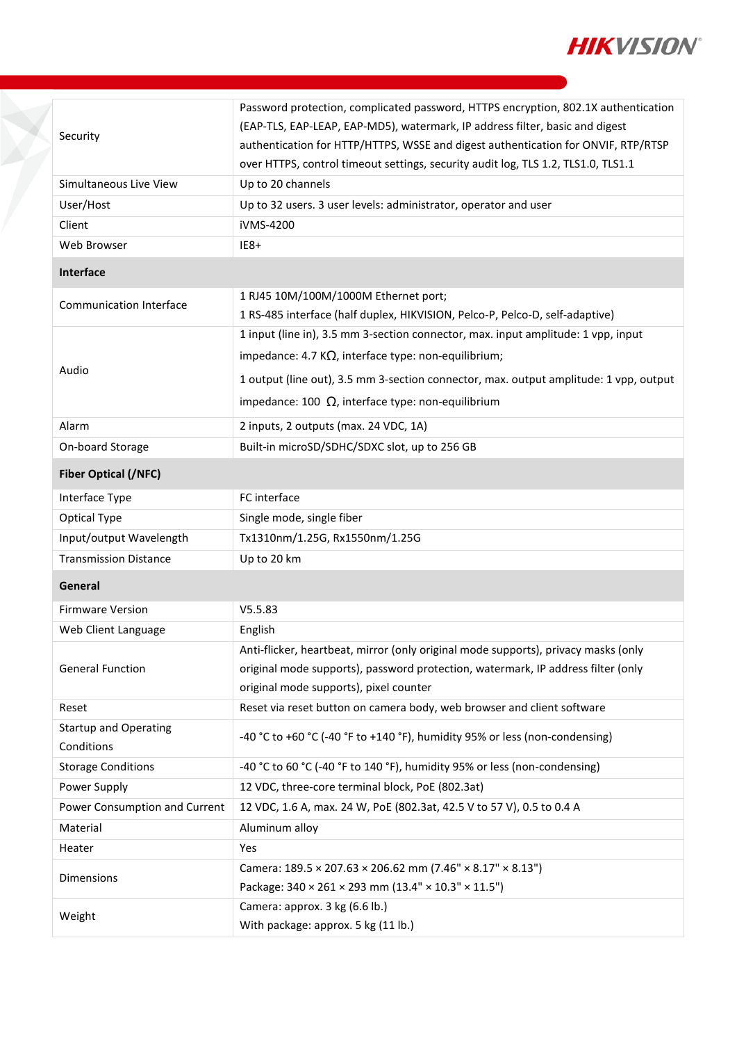

|                                            | Password protection, complicated password, HTTPS encryption, 802.1X authentication<br>(EAP-TLS, EAP-LEAP, EAP-MD5), watermark, IP address filter, basic and digest |  |  |
|--------------------------------------------|--------------------------------------------------------------------------------------------------------------------------------------------------------------------|--|--|
| Security                                   | authentication for HTTP/HTTPS, WSSE and digest authentication for ONVIF, RTP/RTSP                                                                                  |  |  |
|                                            | over HTTPS, control timeout settings, security audit log, TLS 1.2, TLS1.0, TLS1.1                                                                                  |  |  |
| Simultaneous Live View                     | Up to 20 channels                                                                                                                                                  |  |  |
| User/Host                                  | Up to 32 users. 3 user levels: administrator, operator and user                                                                                                    |  |  |
| Client                                     | iVMS-4200                                                                                                                                                          |  |  |
| Web Browser                                | $IE8+$                                                                                                                                                             |  |  |
| Interface                                  |                                                                                                                                                                    |  |  |
| <b>Communication Interface</b>             | 1 RJ45 10M/100M/1000M Ethernet port;                                                                                                                               |  |  |
|                                            | 1 RS-485 interface (half duplex, HIKVISION, Pelco-P, Pelco-D, self-adaptive)                                                                                       |  |  |
|                                            | 1 input (line in), 3.5 mm 3-section connector, max. input amplitude: 1 vpp, input                                                                                  |  |  |
|                                            | impedance: 4.7 K $\Omega$ , interface type: non-equilibrium;                                                                                                       |  |  |
| Audio                                      | 1 output (line out), 3.5 mm 3-section connector, max. output amplitude: 1 vpp, output                                                                              |  |  |
|                                            | impedance: 100 $\Omega$ , interface type: non-equilibrium                                                                                                          |  |  |
| Alarm                                      | 2 inputs, 2 outputs (max. 24 VDC, 1A)                                                                                                                              |  |  |
| On-board Storage                           | Built-in microSD/SDHC/SDXC slot, up to 256 GB                                                                                                                      |  |  |
| <b>Fiber Optical (/NFC)</b>                |                                                                                                                                                                    |  |  |
| Interface Type                             | FC interface                                                                                                                                                       |  |  |
| Optical Type                               | Single mode, single fiber                                                                                                                                          |  |  |
| Input/output Wavelength                    | Tx1310nm/1.25G, Rx1550nm/1.25G                                                                                                                                     |  |  |
| <b>Transmission Distance</b>               | Up to 20 km                                                                                                                                                        |  |  |
| General                                    |                                                                                                                                                                    |  |  |
| <b>Firmware Version</b>                    | V5.5.83                                                                                                                                                            |  |  |
| Web Client Language                        | English                                                                                                                                                            |  |  |
|                                            | Anti-flicker, heartbeat, mirror (only original mode supports), privacy masks (only                                                                                 |  |  |
| <b>General Function</b>                    | original mode supports), password protection, watermark, IP address filter (only                                                                                   |  |  |
|                                            | original mode supports), pixel counter                                                                                                                             |  |  |
| Reset                                      | Reset via reset button on camera body, web browser and client software                                                                                             |  |  |
| <b>Startup and Operating</b><br>Conditions | -40 °C to +60 °C (-40 °F to +140 °F), humidity 95% or less (non-condensing)                                                                                        |  |  |
| <b>Storage Conditions</b>                  | -40 °C to 60 °C (-40 °F to 140 °F), humidity 95% or less (non-condensing)                                                                                          |  |  |
| Power Supply                               | 12 VDC, three-core terminal block, PoE (802.3at)                                                                                                                   |  |  |
| Power Consumption and Current              | 12 VDC, 1.6 A, max. 24 W, PoE (802.3at, 42.5 V to 57 V), 0.5 to 0.4 A                                                                                              |  |  |
| Material                                   | Aluminum alloy                                                                                                                                                     |  |  |
| Heater                                     | Yes                                                                                                                                                                |  |  |
| Dimensions                                 | Camera: $189.5 \times 207.63 \times 206.62$ mm (7.46" $\times 8.17$ " $\times 8.13$ ")                                                                             |  |  |
|                                            | Package: 340 × 261 × 293 mm (13.4" × 10.3" × 11.5")                                                                                                                |  |  |
| Weight                                     | Camera: approx. 3 kg (6.6 lb.)                                                                                                                                     |  |  |
|                                            | With package: approx. 5 kg (11 lb.)                                                                                                                                |  |  |

Y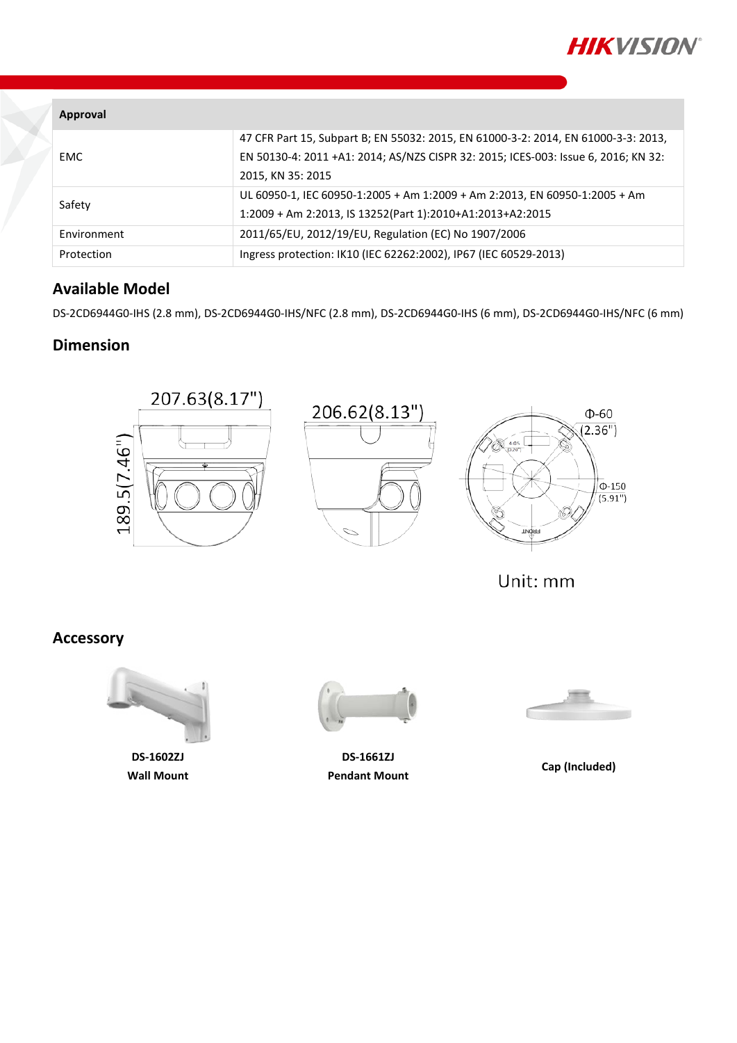

| Approval    |                                                                                    |
|-------------|------------------------------------------------------------------------------------|
|             | 47 CFR Part 15, Subpart B; EN 55032: 2015, EN 61000-3-2: 2014, EN 61000-3-3: 2013, |
| <b>EMC</b>  | EN 50130-4: 2011 +A1: 2014; AS/NZS CISPR 32: 2015; ICES-003: Issue 6, 2016; KN 32: |
|             | 2015, KN 35: 2015                                                                  |
| Safety      | UL 60950-1, IEC 60950-1:2005 + Am 1:2009 + Am 2:2013, EN 60950-1:2005 + Am         |
|             | 1:2009 + Am 2:2013, IS 13252(Part 1):2010+A1:2013+A2:2015                          |
| Environment | 2011/65/EU, 2012/19/EU, Regulation (EC) No 1907/2006                               |
| Protection  | Ingress protection: IK10 (IEC 62262:2002), IP67 (IEC 60529-2013)                   |

#### **Available Model**

DS-2CD6944G0-IHS (2.8 mm), DS-2CD6944G0-IHS/NFC (2.8 mm), DS-2CD6944G0-IHS (6 mm), DS-2CD6944G0-IHS/NFC (6 mm)

#### **Dimension**



Unit: mm

#### **Accessory**



**DS-1602ZJ Wall Mount**



**DS-1661ZJ Pendant Mount Cap (Included)**